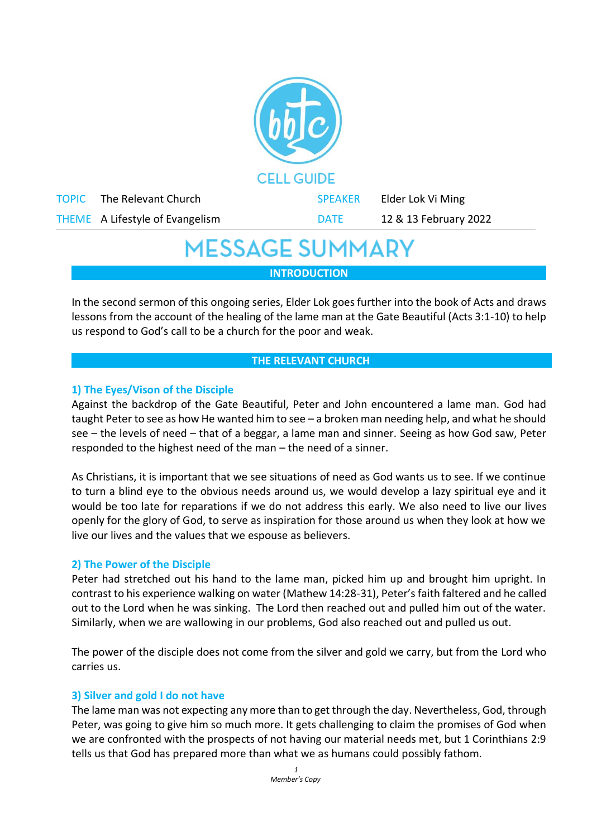

## **MESSAGE SUMMARY**

**INTRODUCTION**

In the second sermon of this ongoing series, Elder Lok goes further into the book of Acts and draws lessons from the account of the healing of the lame man at the Gate Beautiful (Acts 3:1-10) to help us respond to God's call to be a church for the poor and weak.

#### **THE RELEVANT CHURCH**

#### **1) The Eyes/Vison of the Disciple**

Against the backdrop of the Gate Beautiful, Peter and John encountered a lame man. God had taught Peter to see as how He wanted him to see – a broken man needing help, and what he should see – the levels of need – that of a beggar, a lame man and sinner. Seeing as how God saw, Peter responded to the highest need of the man – the need of a sinner.

As Christians, it is important that we see situations of need as God wants us to see. If we continue to turn a blind eye to the obvious needs around us, we would develop a lazy spiritual eye and it would be too late for reparations if we do not address this early. We also need to live our lives openly for the glory of God, to serve as inspiration for those around us when they look at how we live our lives and the values that we espouse as believers.

#### **2) The Power of the Disciple**

Peter had stretched out his hand to the lame man, picked him up and brought him upright. In contrast to his experience walking on water (Mathew 14:28-31), Peter's faith faltered and he called out to the Lord when he was sinking. The Lord then reached out and pulled him out of the water. Similarly, when we are wallowing in our problems, God also reached out and pulled us out.

The power of the disciple does not come from the silver and gold we carry, but from the Lord who carries us.

#### **3) Silver and gold I do not have**

The lame man was not expecting any more than to get through the day. Nevertheless, God, through Peter, was going to give him so much more. It gets challenging to claim the promises of God when we are confronted with the prospects of not having our material needs met, but 1 Corinthians 2:9 tells us that God has prepared more than what we as humans could possibly fathom.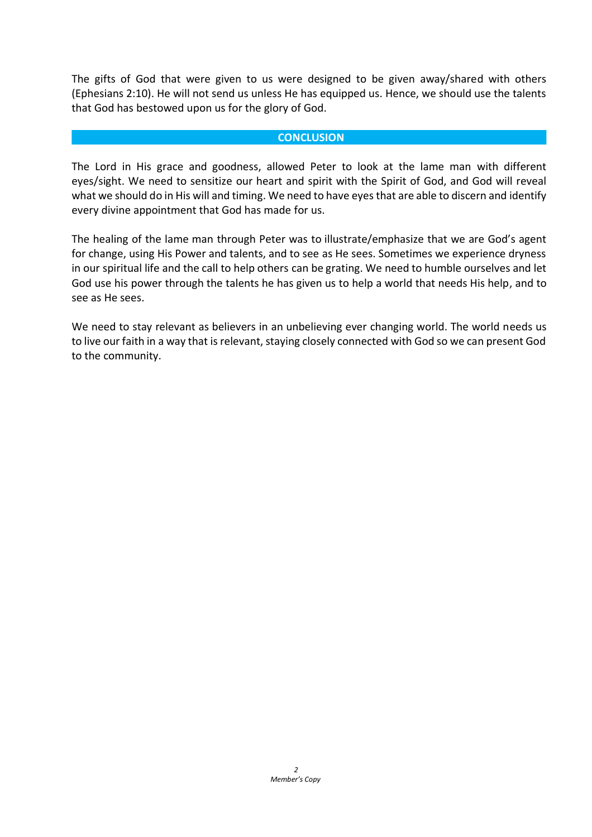The gifts of God that were given to us were designed to be given away/shared with others (Ephesians 2:10). He will not send us unless He has equipped us. Hence, we should use the talents that God has bestowed upon us for the glory of God.

#### **CONCLUSION**

The Lord in His grace and goodness, allowed Peter to look at the lame man with different eyes/sight. We need to sensitize our heart and spirit with the Spirit of God, and God will reveal what we should do in His will and timing. We need to have eyes that are able to discern and identify every divine appointment that God has made for us.

The healing of the lame man through Peter was to illustrate/emphasize that we are God's agent for change, using His Power and talents, and to see as He sees. Sometimes we experience dryness in our spiritual life and the call to help others can be grating. We need to humble ourselves and let God use his power through the talents he has given us to help a world that needs His help, and to see as He sees.

We need to stay relevant as believers in an unbelieving ever changing world. The world needs us to live our faith in a way that is relevant, staying closely connected with God so we can present God to the community.